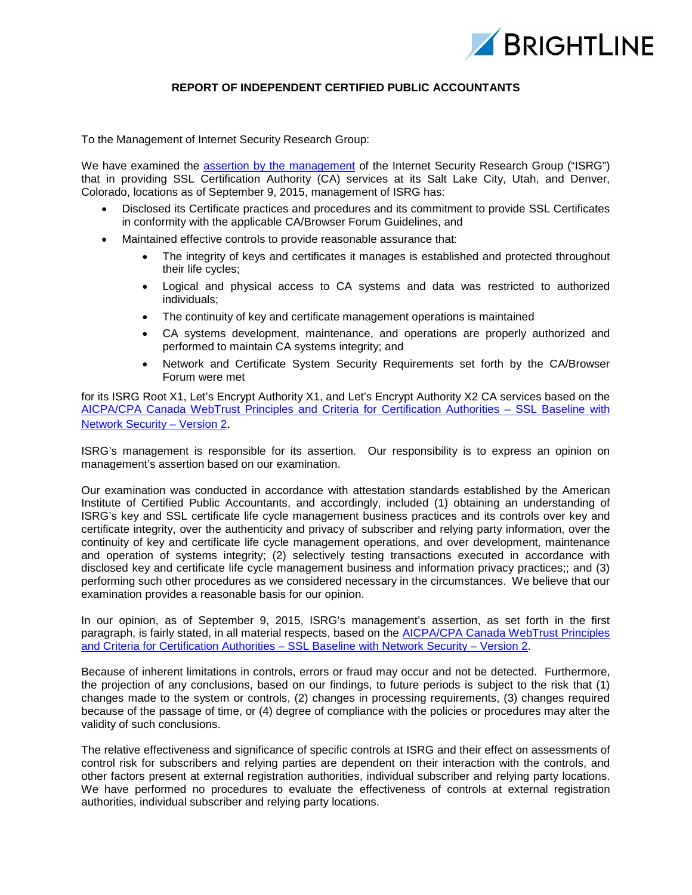

## **REPORT OF INDEPENDENT CERTIFIED PUBLIC ACCOUNTANTS**

To the Management of Internet Security Research Group:

We have examined the assertion by the [management](#page-2-0) of the Internet Security Research Group ("ISRG") that in providing SSL Certification Authority (CA) services at its Salt Lake City, Utah, and Denver, Colorado, locations as of September 9, 2015, management of ISRG has:

- Disclosed its Certificate practices and procedures and its commitment to provide SSL Certificates in conformity with the applicable CA/Browser Forum Guidelines, and
- Maintained effective controls to provide reasonable assurance that:
	- The integrity of keys and certificates it manages is established and protected throughout their life cycles;
	- Logical and physical access to CA systems and data was restricted to authorized individuals;
	- The continuity of key and certificate management operations is maintained
	- CA systems development, maintenance, and operations are properly authorized and performed to maintain CA systems integrity; and
	- Network and Certificate System Security Requirements set forth by the CA/Browser Forum were met

for its ISRG Root X1, Let's Encrypt Authority X1, and Let's Encrypt Authority X2 CA services based on the [AICPA/CPA Canada WebTrust Principles and Criteria for Certification Authorities – SSL Baseline with](http://www.webtrust.org/homepage-documents/item79806.pdf)  [Network Security – Version 2](http://www.webtrust.org/homepage-documents/item79806.pdf).

ISRG's management is responsible for its assertion. Our responsibility is to express an opinion on management's assertion based on our examination.

Our examination was conducted in accordance with attestation standards established by the American Institute of Certified Public Accountants, and accordingly, included (1) obtaining an understanding of ISRG's key and SSL certificate life cycle management business practices and its controls over key and certificate integrity, over the authenticity and privacy of subscriber and relying party information, over the continuity of key and certificate life cycle management operations, and over development, maintenance and operation of systems integrity; (2) selectively testing transactions executed in accordance with disclosed key and certificate life cycle management business and information privacy practices;; and (3) performing such other procedures as we considered necessary in the circumstances. We believe that our examination provides a reasonable basis for our opinion.

In our opinion, as of September 9, 2015, ISRG's management's assertion, as set forth in the first paragraph, is fairly stated, in all material respects, based on the **AICPA/CPA Canada WebTrust Principles** [and Criteria for Certification Authorities – SSL Baseline with Network Security – Version 2.](http://www.webtrust.org/homepage-documents/item79806.pdf)

Because of inherent limitations in controls, errors or fraud may occur and not be detected. Furthermore, the projection of any conclusions, based on our findings, to future periods is subject to the risk that (1) changes made to the system or controls, (2) changes in processing requirements, (3) changes required because of the passage of time, or (4) degree of compliance with the policies or procedures may alter the validity of such conclusions.

The relative effectiveness and significance of specific controls at ISRG and their effect on assessments of control risk for subscribers and relying parties are dependent on their interaction with the controls, and other factors present at external registration authorities, individual subscriber and relying party locations. We have performed no procedures to evaluate the effectiveness of controls at external registration authorities, individual subscriber and relying party locations.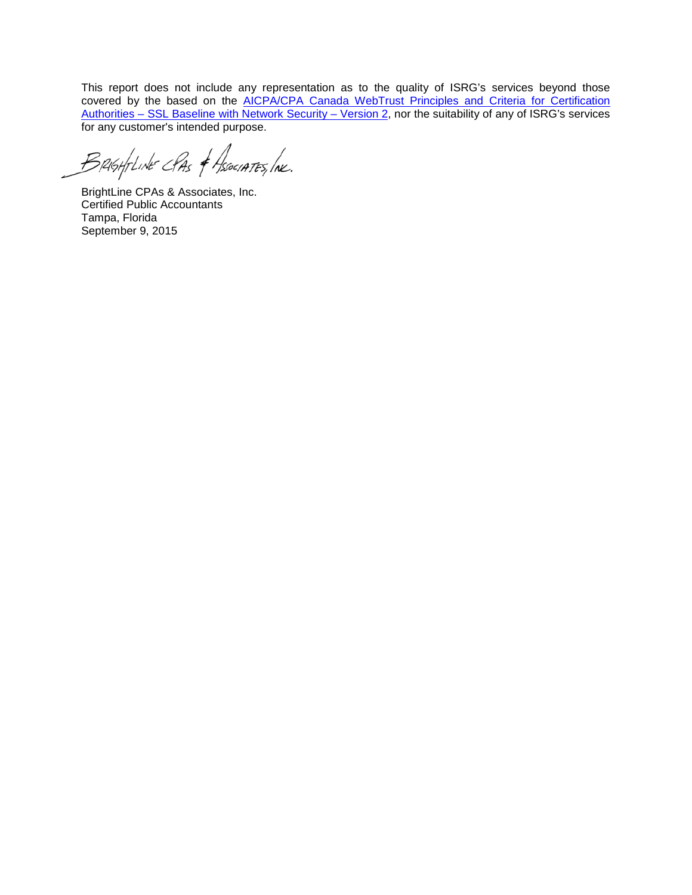This report does not include any representation as to the quality of ISRG's services beyond those covered by the based on the AICPA/CPA Canada WebTrust Principles and Criteria for Certification [Authorities – SSL Baseline with Network Security – Version 2,](http://www.webtrust.org/homepage-documents/item79806.pdf) nor the suitability of any of ISRG's services for any customer's intended purpose.

Brightine CPAs & Associates, Ine.

BrightLine CPAs & Associates, Inc. Certified Public Accountants Tampa, Florida September 9, 2015